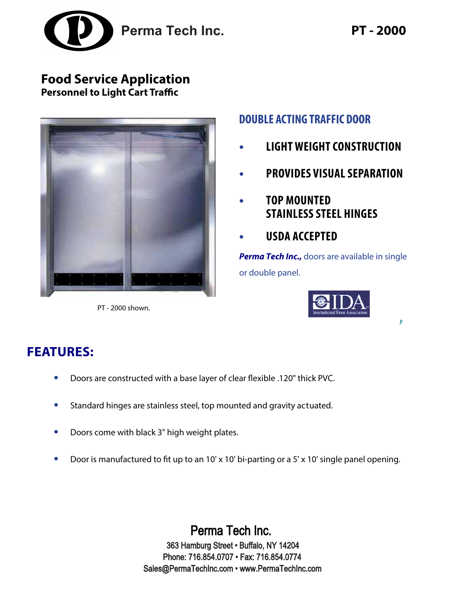

### **Food Service Application Personnel to Light Cart Traffic**



PT - 2000 shown.

### **DOUBLE ACTING TRAFFIC DOOR**

- **• LIGHT WEIGHTCONSTRUCTION**
- **• PROVIDES VISUAL SEPARATION**
- **• TOP MOUNTED STAINLESS STEEL HINGES**
- **• USDA ACCEPTED**

**Perma Tech Inc.,** doors are available in single or double panel.



Þ

## **FEATURES:**

- **•** Doors are constructed with a base layer of clear flexible .120" thick PVC.
- **•** Standard hinges are stainless steel, top mounted and gravity actuated.
- **•** Doors come with black 3" high weight plates.
- Door is manufactured to fit up to an 10' x 10' bi-parting or a 5' x 10' single panel opening.

Perma Tech Inc. 363 Hamburg Street • Buffalo, NY 14204 Phone: 716.854.0707 • Fax: 716.854.0774 Sales@PermaTechInc.com • www.PermaTechInc.com